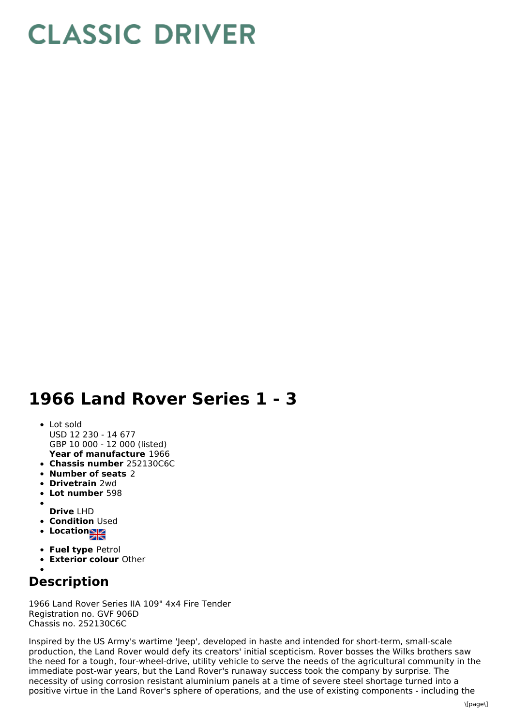## **CLASSIC DRIVER**

## **1966 Land Rover Series 1 - 3**

- **Year of manufacture** 1966 • Lot sold USD 12 230 - 14 677 GBP 10 000 - 12 000 (listed)
- **Chassis number** 252130C6C
- **Number of seats** 2
- **Drivetrain** 2wd
- **Lot number** 598
- **Drive** LHD
- **Condition Used**
- **Location**
- 
- **Fuel type** Petrol
- **Exterior colour** Other
- 

## **Description**

1966 Land Rover Series IIA 109" 4x4 Fire Tender Registration no. GVF 906D Chassis no. 252130C6C

Inspired by the US Army's wartime 'Jeep', developed in haste and intended for short-term, small-scale production, the Land Rover would defy its creators' initial scepticism. Rover bosses the Wilks brothers saw the need for a tough, four-wheel-drive, utility vehicle to serve the needs of the agricultural community in the immediate post-war years, but the Land Rover's runaway success took the company by surprise. The necessity of using corrosion resistant aluminium panels at a time of severe steel shortage turned into a positive virtue in the Land Rover's sphere of operations, and the use of existing components - including the